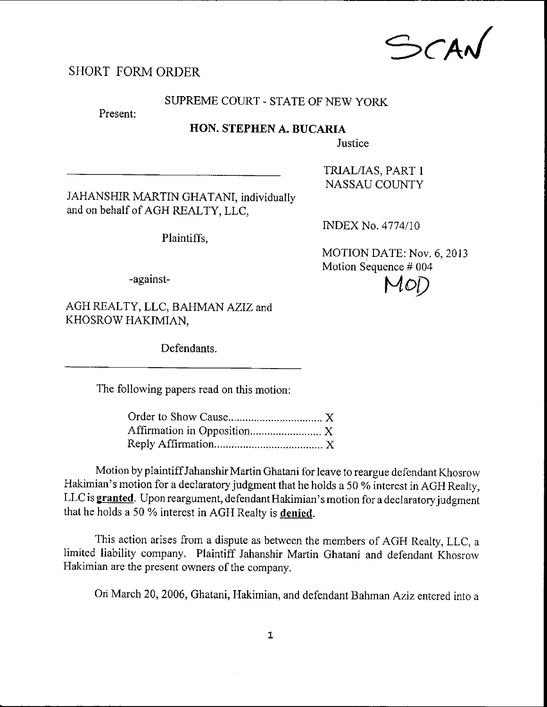$\bigcirc$ CAN

# SHORT FORM ORDER

## SUPREME COURT - STATE OF NEW YORK

Present:

#### HON. STEPHEN A. BUCARIA

**Justice** 

JAHANSHIR MARTIN GHATANI, individually and on behalf of AGH REALTY, LLC,

Plaintiffs,

-against-

AGH REALTY, LLC, BAHMAN AZIZ and KHOSROW HAKIMIAN,

Defendants.

The following papers read on this motion:

Motion by plaintiffJahanshir Martin Ghatani for leave to reargue defendant Khosrow Hakimian's motion for a declaratory judgment that he holds a 50 % interest in AGH Realty, LLC is granted. Upon reargument, defendant Hakimian's motion for a declaratory judgment that he holds a 50 % interest in AGH Realty is denied.

This action arises from a dispute as between the members of AGH Realty, LLC, <sup>a</sup> Iimited liability company. Plaintiff Jahanshir Martin Ghatani and defendant Khosrow Hakimian are the present owners of the company.

Ori March 20,2006, Ghatani, Hakimian, and defendant B ahman Aziz entered into <sup>a</sup>

**INDEX No. 4774/10** 

TRIAL/IAS, PART I NASSAU COUNTY

MOTION DATE: Nov. 6, 2013 Motion Sequence # 004

 $\mathcal{M}$ OL)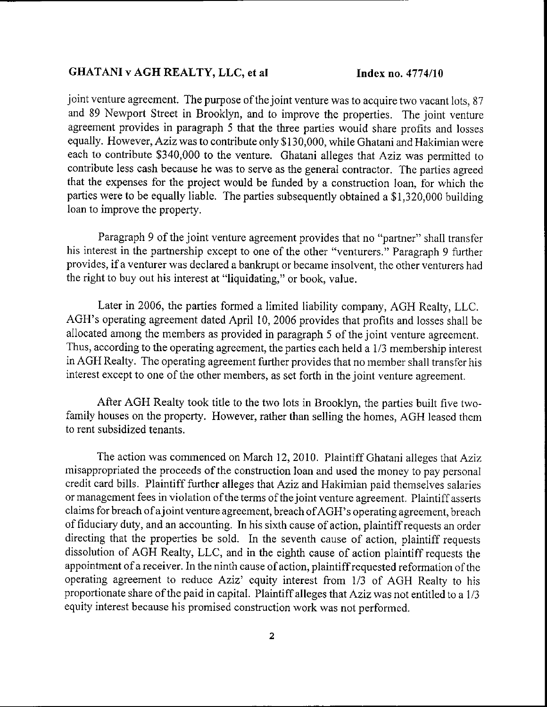joint venture agreement. The purpose of the joint venture was to acquire two vacant lots, 87 and 89 Newport Street in Brooklyn, and to improve the properties. The joint venture agreement provides in paragraph 5 that the three parties would share profits and losses equally. However, Aziz was to contribute only \$ 130,000, while Ghatani and Hakimian were each to contribute s340,000 to the venture. Ghatani alleges that Aziz was permitted to contribute less cash because he was to serve as the general contractor. The parties agreed that the expenses for the project would be funded by a construction loan, for which the parties were to be equally liable. The parties subsequently obtained a \$1,320,000 building loan to improve the property.

Paragraph 9 of the joint venture agreement provides that no "partner" shall transfer his interest in the partnership except to one of the other "venturers." Paragraph 9 further provides, if a venturer was declared a bankrupt or became insolvent, the other venturers had the right to buy out his interest at "liquidating," or book, value.

Later in 2006, the parties formed a limited liability company, AGH Realty, LLC. AGH's operating agreement dated April 10, 2006 provides that profits and losses shall be allocated among the members as provided in paragraph 5 of the joint venture agreement. Thus, according to the operating agreement, the parties each held a 1/3 membership interest in AGH Realty. The operating agreement further provides that no member shall transfer his interest except to one of the other members, as set forth in the joint venture agreement.

After AGH Realty took title to the two lots in Brooklyn, the parties built five twofamily houses on the property. However, rather than selling the homes, AGH leased them to rent subsidized tenants.

The action was commenced on March 12,2010. Plaintiff Ghatani alleges that Aziz misappropriated the proceeds of the construction loan and used the money to pay personal credit card bills. Plaintiff further alleges that Aziz and Hakimian paid themselves salaries or management fees in violation of the terms of the joint venture agreement. Plaintiff asserts claims for breach of a joint venture agreement, breach of AGH's operating agreement, breach of fiduciary duty, and an accounting. In his sixth cause of action, plaintiff requests an order directing that the properties be sold. In the seventh cause of action, plaintiff requests dissolution of AGH Realfy, LLC, and in the eighth cause of action plaintiff requests the appointment of a receiver. In the ninth cause of action, plaintiff requested reformation of the operating agreement to reduce Aziz' equity interest from l/3 of AGH Realty to his proportionate share of the paid in capital. Plaintiff alleges that Aziz was not entitled to a 1/3 equity interest because his promised construction work was not performed.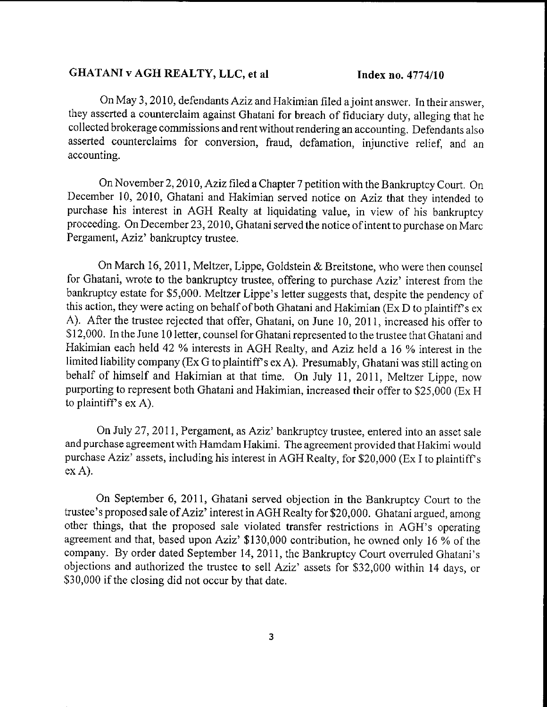On May 3, 2010, defendants Aziz and Hakimian filed a joint answer. In their answer, they asserted a counterclaim against Ghatani for breach of fiduciary duty, alleging that he collected brokerage commissions and rent without rendering an accounting. Defendants also asserted counterclaims for conversion, fraud, defamation, injunctive relief, and an accountins.

On November 2, 2010, Aziz filed a Chapter 7 petition with the Bankruptcy Court. On December 10, 2010, Ghatani and Hakimian served notice on Aziz that they intended to purchase his interest in AGH Realty at liquidating value, in view of his bankruptcy proceeding. On December 23, 2010, Ghatani served the notice of intent to purchase on Marc Pergament, Aziz' bankruptcy trustee.

On March 16,2011, Meltzer, Lippe, Goldstein & Breitstone, who were then counsel for Ghatani, wrote to the bankruptcy trustee, offering to purchase Aziz' interest from the bankuptcy estate for \$5,000. Meltzer Lippe's letter suggests that, despite the pendency of this action, they were acting on behalf of both Ghatani and Hakimian ( $\bar{Ex}D$  to plaintiff's ex A). After the tuustee rejected that offer, Ghatani, on June 10, 2011, increased his offer to \$ 12,000. In the June 10 letter, counsel for Ghatani represented to the trustee that Ghatani and Hakimian each held 42 % interests in AGH Realty, and Aziz held a 16 % interest in the limited liability company (Ex G to plaintiff's  $ex A$ ). Presumably, Ghatani was still acting on behalf of himself and Hakimian at that time. On July 11,2011, Meltzer Lippe, now purporting to represent both Ghatani and Hakimian, increased their offer to \$25,000 (Ex II to plaintiff's  $ex A$ ).

On July 27, 2011, Pergament, as Aziz' bankruptcy trustee, entered into an asset sale and purchase agreement with Hamdam Hakimi. The agreement provided that Hakimi would purchase Aziz' assets, including his interest in AGH Realty, for \$20,000 (Ex I to plaintiff <sup>s</sup> ex A).

On September 6,2011, Ghatani served objection in the Bankruptcy Court to the trustee's proposed sale of Aziz' interest in AGH Realty for \$20,000. Ghatani argued, among other things, that the proposed sale violated transfer restrictions in AGH's operating agreernent and that, based upon Aziz' \$130,000 contribution, he owned only l6 % of the company. By order dated September 14,2011, the Bankruptcy Court overruled Ghatani's objections and authorized the trustee to sell Aziz' assets for \$32.000 within 14 days. or \$30,000 if the closing did not occur by that date.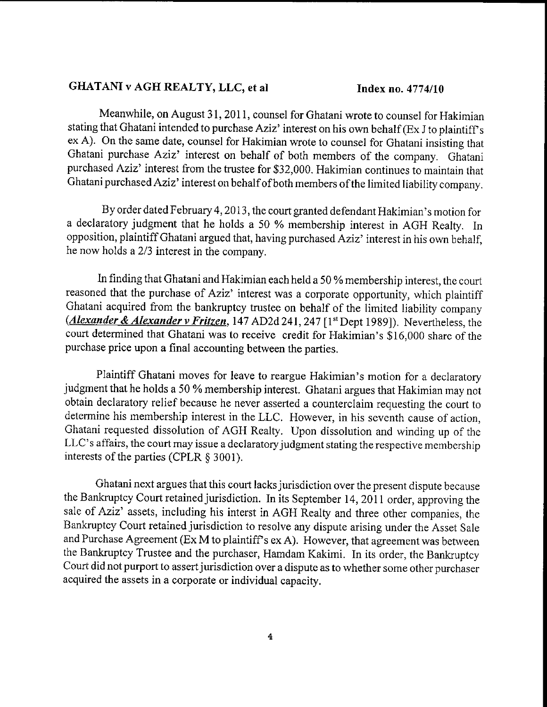Meanwhile, on August 31, 2011, counsel for Ghatani wrote to counsel for Hakimian stating that Ghatani intended to purchase Aziz' interest on his own behalf (Ex J to plaintiff's ex A). On the same date, counsel for Hakimian wrote to counsel for Ghatani insisting that Ghatani purchase Aziz' interest on behalf of both members of the company. Ghatani purchased Aziz' interest from the trustee for \$32,000. Hakimian continues to maintain that Ghatani purchased Aziz' interest on behalfof both members ofthe limited liability company.

By order dated February 4, 2013, the court granted defendant Hakimian's motion for a declaratory judgment that he holds a 50 % membership interest in AGH Realty. In opposition, plaintiff Ghatani argued that, having purchased Aziz' interest in his own behalf, he now holds a 2/3 interest in the company.

In finding that Ghatani and Hakimian each held a 50 % membership interest, the court reasoned that the purchase of Aziz' interest was a corporate opportunity, which plaintiff Ghatani acquired from the bankruptcy trustee on behalf of the limited liability company (Alexander & Alexander v Fritzen, 147 AD2d 241, 247 [1<sup>st</sup> Dept 1989]). Nevertheless, the court determined that Ghatani was to receive credit for Hakimian's \$16,000 share of the purchase price upon a final accounting between the parties.

Plaintiff Ghatani moves for leave to reargue Hakimian's motion for a declaratory judgment that he holds a 50 % membership interest. Ghatani argues that Hakimian may not obtain declaratory relief because he never asserted a counterclaim requesting the court to determine his membership interest in the LLC. However, in his seventh cause of action, Ghatani requested dissolution of AGH Realty. Upon dissolution and winding up of the LLC's affairs, the court may issue a declaratory judgment stating the respective membership interests of the parties (CPLR  $\S 3001$ ).

Ghatani next argues that this court lacks jurisdiction over the present dispute because the Bankruptcy Court retained jurisdiction. In its September 14, 2011 order, approving the sale of Aziz' assets, including his interst in AGH Realty and three other companies, the Bankruptcy Court retained jurisdiction to resolve any dispute arising under the Asset Sale and Purchase Agreement (Ex M to plaintiff's ex A). However, that agreement was between the Bankruptcy Trustee and the purchaser, Hamdam Kakimi. In its order, the Bankruptcy Court did not purport to assert jurisdiction over a dispute as to whether some other purchaser acquired the assets in a corporate or individual capacity.